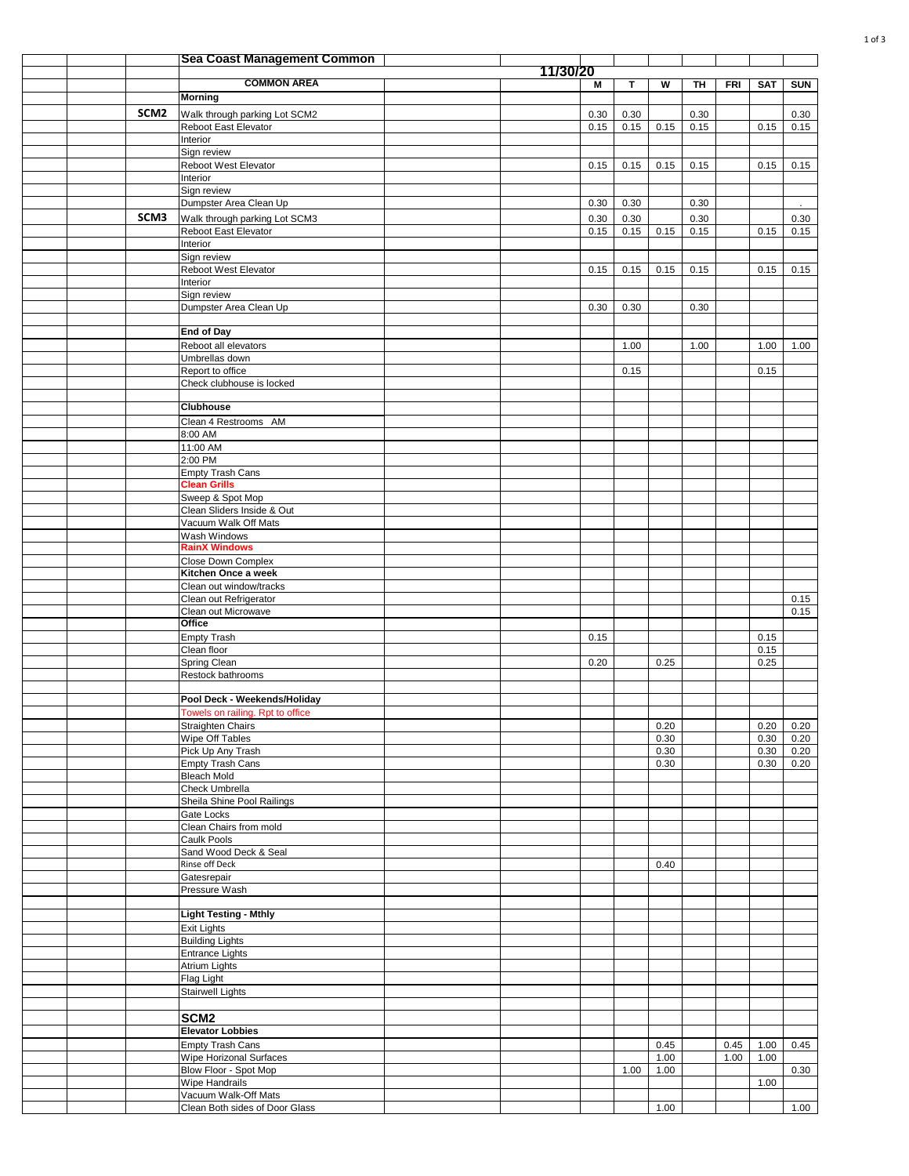|  |                  | <b>Sea Coast Management Common</b>                               |          |          |      |      |      |            |            |            |
|--|------------------|------------------------------------------------------------------|----------|----------|------|------|------|------------|------------|------------|
|  |                  | <b>COMMON AREA</b>                                               | 11/30/20 |          |      |      |      |            |            |            |
|  |                  | Morning                                                          |          | M        | T.   | W    | TH   | <b>FRI</b> | <b>SAT</b> | <b>SUN</b> |
|  | SCM <sub>2</sub> | Walk through parking Lot SCM2                                    |          | $0.30\,$ | 0.30 |      | 0.30 |            |            | 0.30       |
|  |                  | Reboot East Elevator                                             |          | 0.15     | 0.15 | 0.15 | 0.15 |            | 0.15       | 0.15       |
|  |                  | Interior                                                         |          |          |      |      |      |            |            |            |
|  |                  | Sign review                                                      |          |          |      |      |      |            |            |            |
|  |                  | Reboot West Elevator<br>Interior                                 |          | 0.15     | 0.15 | 0.15 | 0.15 |            | 0.15       | 0.15       |
|  |                  | Sign review                                                      |          |          |      |      |      |            |            |            |
|  |                  | Dumpster Area Clean Up                                           |          | 0.30     | 0.30 |      | 0.30 |            |            |            |
|  | SCM3             | Walk through parking Lot SCM3                                    |          | 0.30     | 0.30 |      | 0.30 |            |            | 0.30       |
|  |                  | Reboot East Elevator                                             |          | 0.15     | 0.15 | 0.15 | 0.15 |            | 0.15       | 0.15       |
|  |                  | Interior                                                         |          |          |      |      |      |            |            |            |
|  |                  | Sign review<br>Reboot West Elevator                              |          | 0.15     | 0.15 | 0.15 | 0.15 |            | 0.15       | 0.15       |
|  |                  | Interior                                                         |          |          |      |      |      |            |            |            |
|  |                  | Sign review                                                      |          |          |      |      |      |            |            |            |
|  |                  | Dumpster Area Clean Up                                           |          | 0.30     | 0.30 |      | 0.30 |            |            |            |
|  |                  | <b>End of Day</b>                                                |          |          |      |      |      |            |            |            |
|  |                  | Reboot all elevators                                             |          |          | 1.00 |      | 1.00 |            | 1.00       | 1.00       |
|  |                  | Umbrellas down                                                   |          |          |      |      |      |            |            |            |
|  |                  | Report to office                                                 |          |          | 0.15 |      |      |            | 0.15       |            |
|  |                  | Check clubhouse is locked                                        |          |          |      |      |      |            |            |            |
|  |                  | <b>Clubhouse</b>                                                 |          |          |      |      |      |            |            |            |
|  |                  | Clean 4 Restrooms AM                                             |          |          |      |      |      |            |            |            |
|  |                  | 8:00 AM                                                          |          |          |      |      |      |            |            |            |
|  |                  | $11:00$ AM                                                       |          |          |      |      |      |            |            |            |
|  |                  | 2:00 PM<br><b>Empty Trash Cans</b>                               |          |          |      |      |      |            |            |            |
|  |                  | <b>Clean Grills</b>                                              |          |          |      |      |      |            |            |            |
|  |                  | Sweep & Spot Mop                                                 |          |          |      |      |      |            |            |            |
|  |                  | Clean Sliders Inside & Out                                       |          |          |      |      |      |            |            |            |
|  |                  | Vacuum Walk Off Mats                                             |          |          |      |      |      |            |            |            |
|  |                  | Wash Windows<br><b>RainX Windows</b>                             |          |          |      |      |      |            |            |            |
|  |                  | Close Down Complex                                               |          |          |      |      |      |            |            |            |
|  |                  | Kitchen Once a week                                              |          |          |      |      |      |            |            |            |
|  |                  | Clean out window/tracks                                          |          |          |      |      |      |            |            |            |
|  |                  | Clean out Refrigerator                                           |          |          |      |      |      |            |            | 0.15       |
|  |                  | Clean out Microwave<br>Office                                    |          |          |      |      |      |            |            | 0.15       |
|  |                  | <b>Empty Trash</b>                                               |          | 0.15     |      |      |      |            | 0.15       |            |
|  |                  | Clean floor                                                      |          |          |      |      |      |            | 0.15       |            |
|  |                  | Spring Clean                                                     |          | 0.20     |      | 0.25 |      |            | 0.25       |            |
|  |                  | Restock bathrooms                                                |          |          |      |      |      |            |            |            |
|  |                  |                                                                  |          |          |      |      |      |            |            |            |
|  |                  | Pool Deck - Weekends/Holiday<br>Towels on railing. Rpt to office |          |          |      |      |      |            |            |            |
|  |                  | <b>Straighten Chairs</b>                                         |          |          |      | 0.20 |      |            | 0.20       | 0.20       |
|  |                  | Wipe Off Tables                                                  |          |          |      | 0.30 |      |            | 0.30       | 0.20       |
|  |                  | Pick Up Any Trash                                                |          |          |      | 0.30 |      |            | 0.30       | 0.20       |
|  |                  | <b>Empty Trash Cans</b>                                          |          |          |      | 0.30 |      |            | 0.30       | 0.20       |
|  |                  | <b>Bleach Mold</b><br>Check Umbrella                             |          |          |      |      |      |            |            |            |
|  |                  | Sheila Shine Pool Railings                                       |          |          |      |      |      |            |            |            |
|  |                  | Gate Locks                                                       |          |          |      |      |      |            |            |            |
|  |                  | Clean Chairs from mold                                           |          |          |      |      |      |            |            |            |
|  |                  | Caulk Pools                                                      |          |          |      |      |      |            |            |            |
|  |                  | Sand Wood Deck & Seal<br>Rinse off Deck                          |          |          |      | 0.40 |      |            |            |            |
|  |                  | Gatesrepair                                                      |          |          |      |      |      |            |            |            |
|  |                  | Pressure Wash                                                    |          |          |      |      |      |            |            |            |
|  |                  |                                                                  |          |          |      |      |      |            |            |            |
|  |                  | <b>Light Testing - Mthly</b>                                     |          |          |      |      |      |            |            |            |
|  |                  | Exit Lights<br><b>Building Lights</b>                            |          |          |      |      |      |            |            |            |
|  |                  | <b>Entrance Lights</b>                                           |          |          |      |      |      |            |            |            |
|  |                  | <b>Atrium Lights</b>                                             |          |          |      |      |      |            |            |            |
|  |                  | Flag Light                                                       |          |          |      |      |      |            |            |            |
|  |                  | <b>Stairwell Lights</b>                                          |          |          |      |      |      |            |            |            |
|  |                  |                                                                  |          |          |      |      |      |            |            |            |
|  |                  | SCM <sub>2</sub><br><b>Elevator Lobbies</b>                      |          |          |      |      |      |            |            |            |
|  |                  | <b>Empty Trash Cans</b>                                          |          |          |      | 0.45 |      | 0.45       | 1.00       | 0.45       |
|  |                  | Wipe Horizonal Surfaces                                          |          |          |      | 1.00 |      | 1.00       | 1.00       |            |
|  |                  | Blow Floor - Spot Mop                                            |          |          | 1.00 | 1.00 |      |            |            | 0.30       |
|  |                  | Wipe Handrails                                                   |          |          |      |      |      |            | 1.00       |            |
|  |                  | Vacuum Walk-Off Mats                                             |          |          |      |      |      |            |            |            |
|  |                  | Clean Both sides of Door Glass                                   |          |          |      | 1.00 |      |            |            | 1.00       |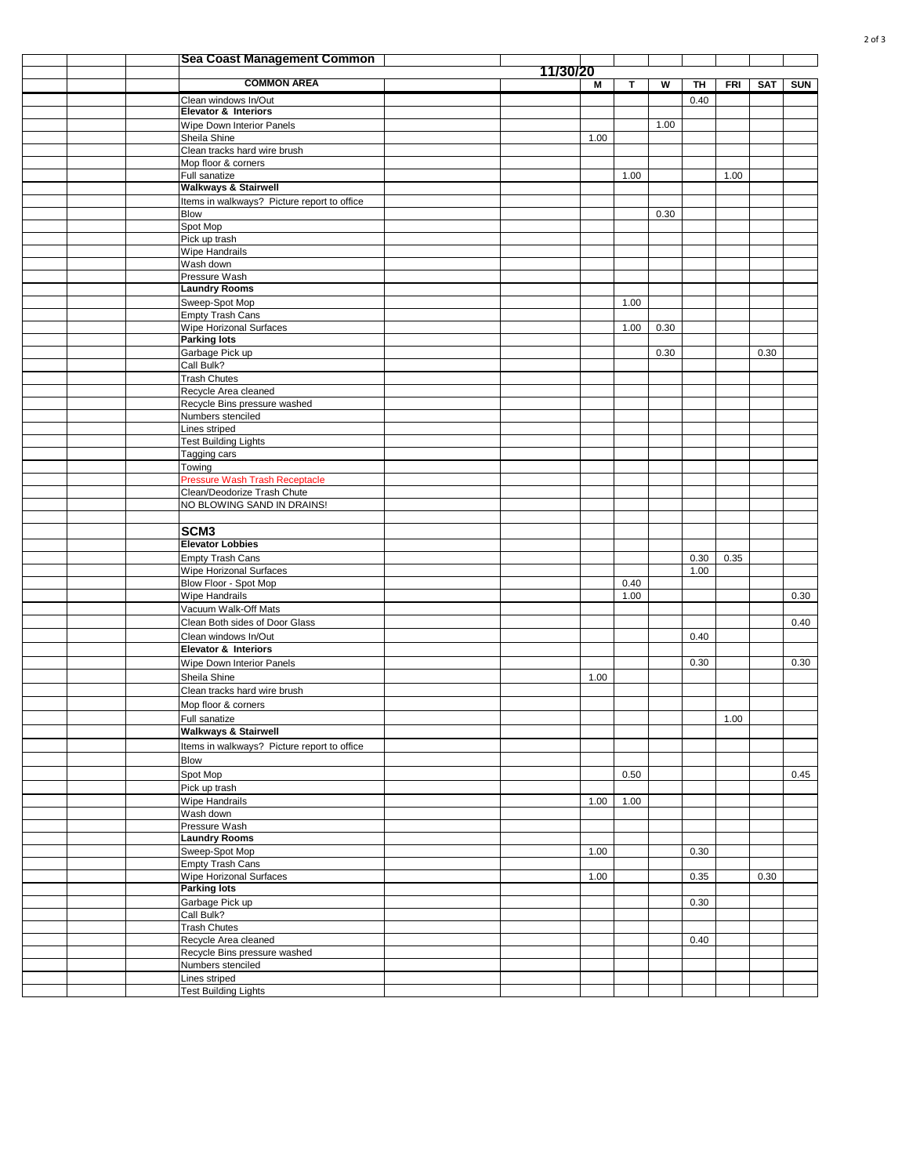|  | <b>Sea Coast Management Common</b>                      |          |      |      |      |      |            |            |            |
|--|---------------------------------------------------------|----------|------|------|------|------|------------|------------|------------|
|  | <b>COMMON AREA</b>                                      | 11/30/20 |      | т    | w    | TH   | <b>FRI</b> | <b>SAT</b> | <b>SUN</b> |
|  | Clean windows In/Out                                    |          | М    |      |      | 0.40 |            |            |            |
|  | <b>Elevator &amp; Interiors</b>                         |          |      |      |      |      |            |            |            |
|  | Wipe Down Interior Panels                               |          |      |      | 1.00 |      |            |            |            |
|  | Sheila Shine                                            |          | 1.00 |      |      |      |            |            |            |
|  | Clean tracks hard wire brush                            |          |      |      |      |      |            |            |            |
|  | Mop floor & corners<br>Full sanatize                    |          |      | 1.00 |      |      | 1.00       |            |            |
|  | <b>Walkways &amp; Stairwell</b>                         |          |      |      |      |      |            |            |            |
|  | Items in walkways? Picture report to office             |          |      |      |      |      |            |            |            |
|  | <b>Blow</b>                                             |          |      |      | 0.30 |      |            |            |            |
|  | Spot Mop                                                |          |      |      |      |      |            |            |            |
|  | Pick up trash                                           |          |      |      |      |      |            |            |            |
|  | <b>Wipe Handrails</b><br>Wash down                      |          |      |      |      |      |            |            |            |
|  | Pressure Wash                                           |          |      |      |      |      |            |            |            |
|  | <b>Laundry Rooms</b>                                    |          |      |      |      |      |            |            |            |
|  | Sweep-Spot Mop                                          |          |      | 1.00 |      |      |            |            |            |
|  | Empty Trash Cans                                        |          |      |      |      |      |            |            |            |
|  | <b>Wipe Horizonal Surfaces</b><br><b>Parking lots</b>   |          |      | 1.00 | 0.30 |      |            |            |            |
|  | Garbage Pick up                                         |          |      |      | 0.30 |      |            | 0.30       |            |
|  | Call Bulk?                                              |          |      |      |      |      |            |            |            |
|  | <b>Trash Chutes</b>                                     |          |      |      |      |      |            |            |            |
|  | Recycle Area cleaned                                    |          |      |      |      |      |            |            |            |
|  | Recycle Bins pressure washed                            |          |      |      |      |      |            |            |            |
|  | Numbers stenciled                                       |          |      |      |      |      |            |            |            |
|  | Lines striped<br><b>Test Building Lights</b>            |          |      |      |      |      |            |            |            |
|  | Tagging cars                                            |          |      |      |      |      |            |            |            |
|  | Towing                                                  |          |      |      |      |      |            |            |            |
|  | Pressure Wash Trash Receptacle                          |          |      |      |      |      |            |            |            |
|  | Clean/Deodorize Trash Chute                             |          |      |      |      |      |            |            |            |
|  | NO BLOWING SAND IN DRAINS!                              |          |      |      |      |      |            |            |            |
|  |                                                         |          |      |      |      |      |            |            |            |
|  | SCM <sub>3</sub><br><b>Elevator Lobbies</b>             |          |      |      |      |      |            |            |            |
|  | Empty Trash Cans                                        |          |      |      |      | 0.30 | 0.35       |            |            |
|  | Wipe Horizonal Surfaces                                 |          |      |      |      | 1.00 |            |            |            |
|  | Blow Floor - Spot Mop                                   |          |      | 0.40 |      |      |            |            |            |
|  | Wipe Handrails                                          |          |      | 1.00 |      |      |            |            | 0.30       |
|  | Vacuum Walk-Off Mats                                    |          |      |      |      |      |            |            |            |
|  | Clean Both sides of Door Glass                          |          |      |      |      |      |            |            | 0.40       |
|  | Clean windows In/Out<br><b>Elevator &amp; Interiors</b> |          |      |      |      | 0.40 |            |            |            |
|  | Wipe Down Interior Panels                               |          |      |      |      | 0.30 |            |            | 0.30       |
|  | Sheila Shine                                            |          | 1.00 |      |      |      |            |            |            |
|  | Clean tracks hard wire brush                            |          |      |      |      |      |            |            |            |
|  | Mop floor & corners                                     |          |      |      |      |      |            |            |            |
|  | Full sanatize                                           |          |      |      |      |      | 1.00       |            |            |
|  | <b>Walkways &amp; Stairwell</b>                         |          |      |      |      |      |            |            |            |
|  | Items in walkways? Picture report to office             |          |      |      |      |      |            |            |            |
|  | <b>Blow</b>                                             |          |      |      |      |      |            |            |            |
|  | Spot Mop                                                |          |      | 0.50 |      |      |            |            | 0.45       |
|  | Pick up trash                                           |          |      |      |      |      |            |            |            |
|  | <b>Wipe Handrails</b><br>Wash down                      |          | 1.00 | 1.00 |      |      |            |            |            |
|  | Pressure Wash                                           |          |      |      |      |      |            |            |            |
|  | <b>Laundry Rooms</b>                                    |          |      |      |      |      |            |            |            |
|  | Sweep-Spot Mop                                          |          | 1.00 |      |      | 0.30 |            |            |            |
|  | Empty Trash Cans                                        |          |      |      |      |      |            |            |            |
|  | Wipe Horizonal Surfaces                                 |          | 1.00 |      |      | 0.35 |            | 0.30       |            |
|  | <b>Parking lots</b>                                     |          |      |      |      |      |            |            |            |
|  | Garbage Pick up<br>Call Bulk?                           |          |      |      |      | 0.30 |            |            |            |
|  | <b>Trash Chutes</b>                                     |          |      |      |      |      |            |            |            |
|  | Recycle Area cleaned                                    |          |      |      |      | 0.40 |            |            |            |
|  | Recycle Bins pressure washed                            |          |      |      |      |      |            |            |            |
|  | Numbers stenciled                                       |          |      |      |      |      |            |            |            |
|  | Lines striped                                           |          |      |      |      |      |            |            |            |
|  | <b>Test Building Lights</b>                             |          |      |      |      |      |            |            |            |